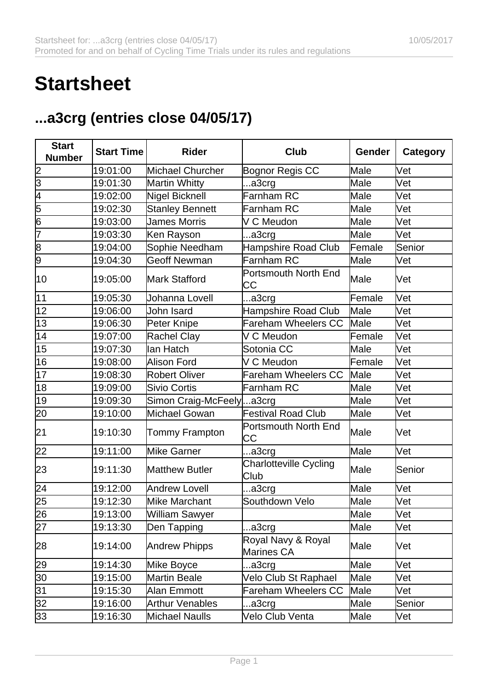## **Startsheet**

## **...a3crg (entries close 04/05/17)**

| <b>Start</b><br><b>Number</b> | <b>Start Time</b> | <b>Rider</b>                | <b>Club</b>                           | Gender | <b>Category</b> |
|-------------------------------|-------------------|-----------------------------|---------------------------------------|--------|-----------------|
|                               | 19:01:00          | Michael Churcher            | Bognor Regis CC                       | Male   | Vet             |
| $\frac{2}{3}$                 | 19:01:30          | Martin Whitty               | a3crg                                 | Male   | Vet             |
| 4                             | 19:02:00          | Nigel Bicknell              | Farnham RC                            | Male   | Vet             |
| 5                             | 19:02:30          | <b>Stanley Bennett</b>      | Farnham RC                            | Male   | Vet             |
| 6                             | 19:03:00          | <b>James Morris</b>         | V C Meudon                            | Male   | Vet             |
| 7                             | 19:03:30          | Ken Rayson                  | a3crg                                 | Male   | Vet             |
| $\overline{8}$                | 19:04:00          | Sophie Needham              | Hampshire Road Club                   | Female | Senior          |
| 9                             | 19:04:30          | <b>Geoff Newman</b>         | Farnham RC                            | Male   | Vet             |
| 10                            | 19:05:00          | <b>Mark Stafford</b>        | Portsmouth North End<br>IСC           | Male   | Vet             |
| 11                            | 19:05:30          | Johanna Lovell              | a3crg                                 | Female | Vet             |
| 12                            | 19:06:00          | John Isard                  | Hampshire Road Club                   | Male   | Vet             |
| 13                            | 19:06:30          | Peter Knipe                 | <b>Fareham Wheelers CC</b>            | Male   | Vet             |
| 14                            | 19:07:00          | Rachel Clay                 | V C Meudon                            | Female | Vet             |
| 15                            | 19:07:30          | llan Hatch                  | Sotonia CC                            | Male   | Vet             |
| 16                            | 19:08:00          | Alison Ford                 | V C Meudon                            | Female | Vet             |
| 17                            | 19:08:30          | Robert Oliver               | <b>Fareham Wheelers CC</b>            | Male   | Vet             |
| 18                            | 19:09:00          | Sivio Cortis                | Farnham RC                            | Male   | Vet             |
| 19                            | 19:09:30          | Simon Craig-McFeely  a 3crg |                                       | Male   | Vet             |
| 20                            | 19:10:00          | Michael Gowan               | <b>Festival Road Club</b>             | Male   | Vet             |
| 21                            | 19:10:30          | <b>Tommy Frampton</b>       | Portsmouth North End<br>CС            | Male   | Vet             |
| 22                            | 19:11:00          | Mike Garner                 | a3crg                                 | Male   | Vet             |
| 23                            | 19:11:30          | <b>Matthew Butler</b>       | <b>Charlotteville Cycling</b><br>Club | Male   | lSenior         |
| 24                            | 19:12:00          | Andrew Lovell               | a3crg                                 | Male   | Vet             |
| 25                            | 19:12:30          | Mike Marchant               | Southdown Velo                        | Male   | Vet             |
| $\overline{26}$               | 19:13:00          | William Sawyer              |                                       | Male   | Vet             |
| $\overline{27}$               | 19:13:30          | Den Tapping                 | a3crg                                 | Male   | Vet             |
| 28                            | 19:14:00          | <b>Andrew Phipps</b>        | Royal Navy & Royal<br>Marines CA      | Male   | Vet             |
| 29                            | 19:14:30          | Mike Boyce                  | a3crg                                 | Male   | Vet             |
| 30                            | 19:15:00          | Martin Beale                | Velo Club St Raphael                  | Male   | Vet             |
| 31                            | 19:15:30          | Alan Emmott                 | <b>Fareham Wheelers CC</b>            | Male   | Vet             |
| $\overline{32}$               | 19:16:00          | <b>Arthur Venables</b>      | a3crg                                 | Male   | Senior          |
| 33                            | 19:16:30          | Michael Naulls              | Velo Club Venta                       | Male   | Vet             |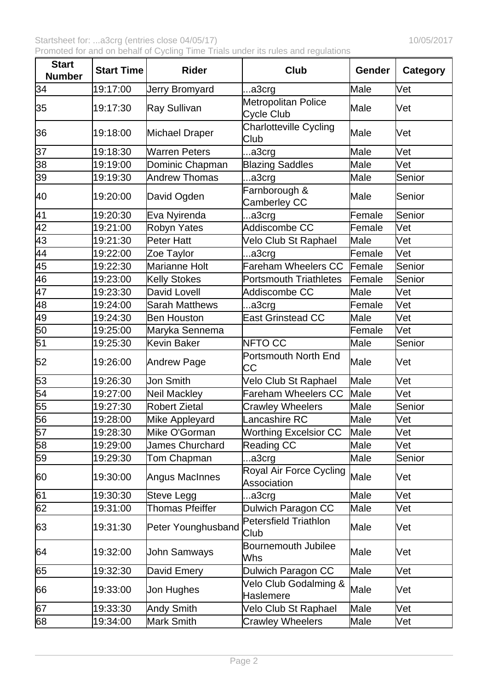Startsheet for: ...a3crg (entries close 04/05/17) 10/05/2017 Promoted for and on behalf of Cycling Time Trials under its rules and regulations

| <b>Start</b><br><b>Number</b> | <b>Start Time</b> | <b>Rider</b>           | Club                                          | Gender      | <b>Category</b> |
|-------------------------------|-------------------|------------------------|-----------------------------------------------|-------------|-----------------|
| 34                            | 19:17:00          | Jerry Bromyard         | .a3crg                                        | Male        | Vet             |
| 35                            | 19:17:30          | Ray Sullivan           | Metropolitan Police<br>Cycle Club             | Male        | Vet             |
| 36                            | 19:18:00          | Michael Draper         | <b>Charlotteville Cycling</b><br>Club         | Male        | <b>Vet</b>      |
| 37                            | 19:18:30          | Warren Peters          | a3crg                                         | Male        | Vet             |
| $\overline{38}$               | 19:19:00          | Dominic Chapman        | <b>Blazing Saddles</b>                        | Male        | Vet             |
| $\overline{39}$               | 19:19:30          | <b>Andrew Thomas</b>   | a3crg                                         | <b>Male</b> | Senior          |
| 40                            | 19:20:00          | David Ogden            | Farnborough &<br>Camberley CC                 | Male        | Senior          |
| 41                            | 19:20:30          | Eva Nyirenda           | a3crg                                         | Female      | Senior          |
| $\overline{42}$               | 19:21:00          | Robyn Yates            | Addiscombe CC                                 | Female      | Vet             |
| $\frac{43}{44}$               | 19:21:30          | Peter Hatt             | Velo Club St Raphael                          | Male        | Vet             |
|                               | 19:22:00          | Zoe Taylor             | .a3crg                                        | Female      | Vet             |
| 45                            | 19:22:30          | Marianne Holt          | <b>Fareham Wheelers CC</b>                    | Female      | Senior          |
| 46                            | 19:23:00          | Kelly Stokes           | <b>Portsmouth Triathletes</b>                 | Female      | Senior          |
| $\overline{47}$               | 19:23:30          | David Lovell           | Addiscombe CC                                 | Male        | Vet             |
| $\frac{48}{49}$               | 19:24:00          | <b>Sarah Matthews</b>  | a3crg                                         | Female      | Vet             |
|                               | 19:24:30          | <b>Ben Houston</b>     | <b>East Grinstead CC</b>                      | Male        | Vet             |
| $\overline{50}$               | 19:25:00          | Maryka Sennema         |                                               | Female      | Vet             |
| $\overline{51}$               | 19:25:30          | Kevin Baker            | NFTO CC                                       | Male        | Senior          |
| 52                            | 19:26:00          | Andrew Page            | Portsmouth North End<br>СC                    | Male        | Vet             |
| 53                            | 19:26:30          | Jon Smith              | Velo Club St Raphael                          | Male        | Vet             |
| $\overline{54}$               | 19:27:00          | Neil Mackley           | <b>Fareham Wheelers CC</b>                    | Male        | Vet             |
| $\overline{55}$               | 19:27:30          | <b>Robert Zietal</b>   | <b>Crawley Wheelers</b>                       | Male        | Senior          |
| $\overline{56}$               | 19:28:00          | Mike Appleyard         | Lancashire RC                                 | Male        | Vet             |
| 57                            | 19:28:30          | Mike O'Gorman          | <b>Worthing Excelsior CC</b>                  | Male        | Vet             |
| $\overline{58}$               | 19:29:00          | <b>James Churchard</b> | Reading CC                                    | Male        | Vet             |
| 59                            | 19:29:30          | Tom Chapman            | .a3crg                                        | Male        | Senior          |
| 60                            | 19:30:00          | Angus MacInnes         | Royal Air Force Cycling<br><b>Association</b> | Male        | Vet             |
| 61                            | 19:30:30          | Steve Legg             | a3crg                                         | Male        | Vet             |
| 62                            | 19:31:00          | <b>Thomas Pfeiffer</b> | Dulwich Paragon CC                            | Male        | Vet             |
| 63                            | 19:31:30          | Peter Younghusband     | Petersfield Triathlon<br><b>Club</b>          | Male        | Vet             |
| 64                            | 19:32:00          | John Samways           | Bournemouth Jubilee<br>Whs                    | Male        | Vet             |
| 65                            | 19:32:30          | David Emery            | Dulwich Paragon CC                            | Male        | Vet             |
| 66                            | 19:33:00          | Jon Hughes             | Velo Club Godalming &<br>Haslemere            | Male        | Vet             |
| 67                            | 19:33:30          | Andy Smith             | Velo Club St Raphael                          | Male        | Vet             |
| 68                            | 19:34:00          | Mark Smith             | <b>Crawley Wheelers</b>                       | Male        | Vet             |